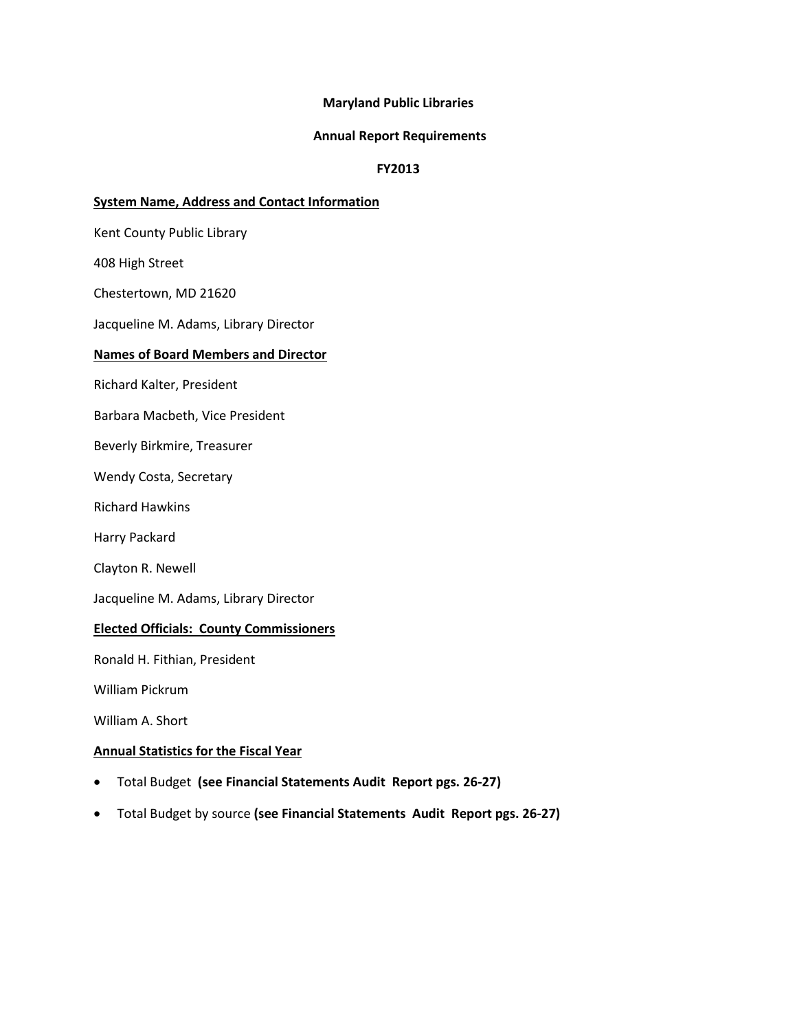### **Maryland Public Libraries**

#### **Annual Report Requirements**

### **FY2013**

### **System Name, Address and Contact Information**

Kent County Public Library

408 High Street

Chestertown, MD 21620

Jacqueline M. Adams, Library Director

#### **Names of Board Members and Director**

Richard Kalter, President

Barbara Macbeth, Vice President

Beverly Birkmire, Treasurer

Wendy Costa, Secretary

Richard Hawkins

Harry Packard

Clayton R. Newell

Jacqueline M. Adams, Library Director

### **Elected Officials: County Commissioners**

Ronald H. Fithian, President

William Pickrum

William A. Short

### **Annual Statistics for the Fiscal Year**

- Total Budget **(see Financial Statements Audit Report pgs. 26-27)**
- Total Budget by source **(see Financial Statements Audit Report pgs. 26-27)**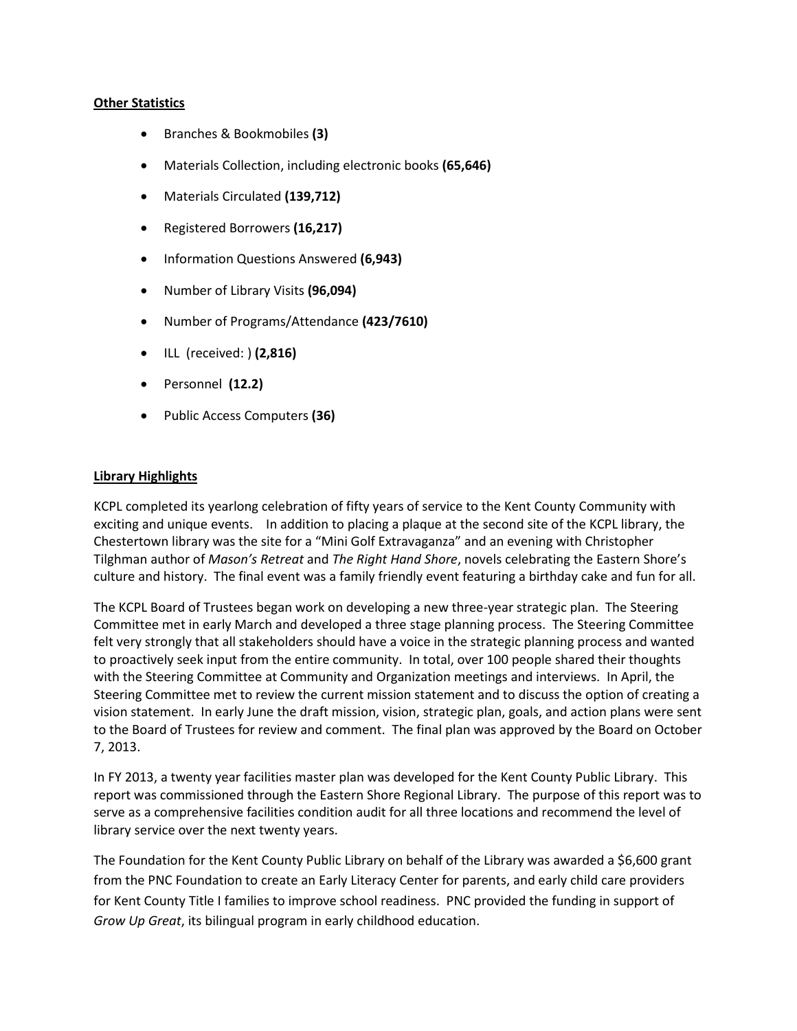### **Other Statistics**

- Branches & Bookmobiles **(3)**
- Materials Collection, including electronic books **(65,646)**
- Materials Circulated **(139,712)**
- Registered Borrowers **(16,217)**
- Information Questions Answered **(6,943)**
- Number of Library Visits **(96,094)**
- Number of Programs/Attendance **(423/7610)**
- ILL (received: ) **(2,816)**
- Personnel **(12.2)**
- Public Access Computers **(36)**

### **Library Highlights**

KCPL completed its yearlong celebration of fifty years of service to the Kent County Community with exciting and unique events. In addition to placing a plaque at the second site of the KCPL library, the Chestertown library was the site for a "Mini Golf Extravaganza" and an evening with Christopher Tilghman author of *Mason's Retreat* and *The Right Hand Shore*, novels celebrating the Eastern Shore's culture and history. The final event was a family friendly event featuring a birthday cake and fun for all.

The KCPL Board of Trustees began work on developing a new three-year strategic plan. The Steering Committee met in early March and developed a three stage planning process. The Steering Committee felt very strongly that all stakeholders should have a voice in the strategic planning process and wanted to proactively seek input from the entire community. In total, over 100 people shared their thoughts with the Steering Committee at Community and Organization meetings and interviews. In April, the Steering Committee met to review the current mission statement and to discuss the option of creating a vision statement. In early June the draft mission, vision, strategic plan, goals, and action plans were sent to the Board of Trustees for review and comment. The final plan was approved by the Board on October 7, 2013.

In FY 2013, a twenty year facilities master plan was developed for the Kent County Public Library. This report was commissioned through the Eastern Shore Regional Library. The purpose of this report was to serve as a comprehensive facilities condition audit for all three locations and recommend the level of library service over the next twenty years.

The Foundation for the Kent County Public Library on behalf of the Library was awarded a \$6,600 grant from the PNC Foundation to create an Early Literacy Center for parents, and early child care providers for Kent County Title I families to improve school readiness. PNC provided the funding in support of *Grow Up Great*, its bilingual program in early childhood education.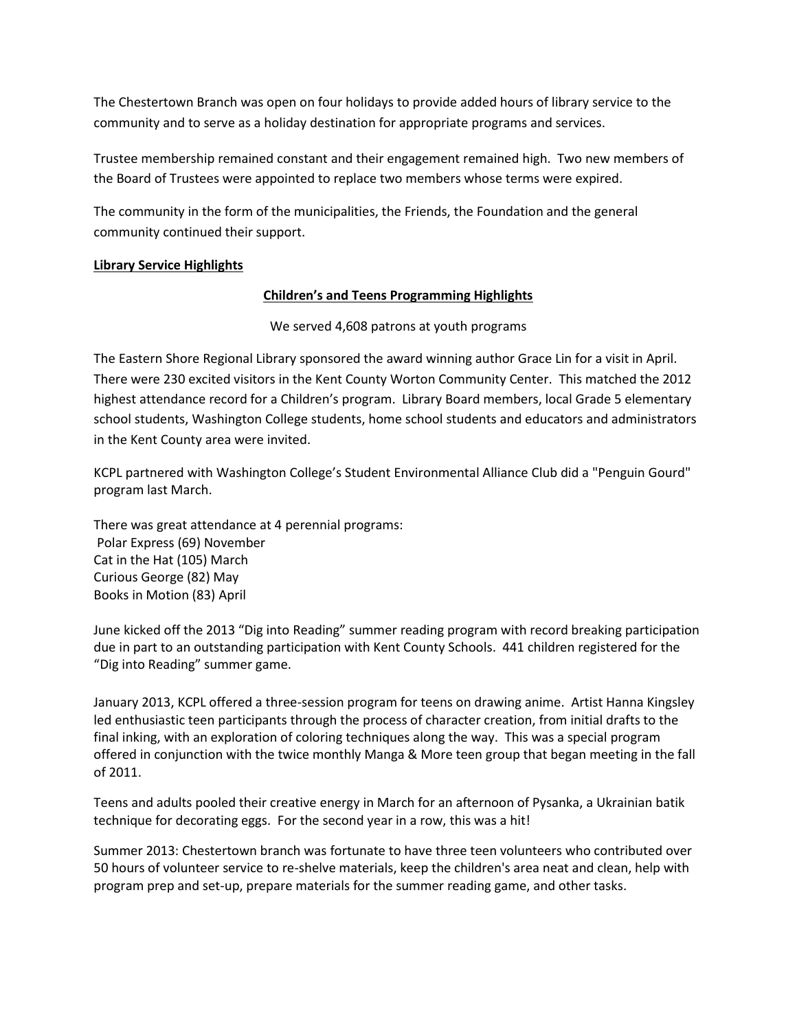The Chestertown Branch was open on four holidays to provide added hours of library service to the community and to serve as a holiday destination for appropriate programs and services.

Trustee membership remained constant and their engagement remained high. Two new members of the Board of Trustees were appointed to replace two members whose terms were expired.

The community in the form of the municipalities, the Friends, the Foundation and the general community continued their support.

# **Library Service Highlights**

# **Children's and Teens Programming Highlights**

We served 4,608 patrons at youth programs

The Eastern Shore Regional Library sponsored the award winning author Grace Lin for a visit in April. There were 230 excited visitors in the Kent County Worton Community Center. This matched the 2012 highest attendance record for a Children's program. Library Board members, local Grade 5 elementary school students, Washington College students, home school students and educators and administrators in the Kent County area were invited.

KCPL partnered with Washington College's Student Environmental Alliance Club did a "Penguin Gourd" program last March.

There was great attendance at 4 perennial programs: Polar Express (69) November Cat in the Hat (105) March Curious George (82) May Books in Motion (83) April

June kicked off the 2013 "Dig into Reading" summer reading program with record breaking participation due in part to an outstanding participation with Kent County Schools. 441 children registered for the "Dig into Reading" summer game.

January 2013, KCPL offered a three-session program for teens on drawing anime. Artist Hanna Kingsley led enthusiastic teen participants through the process of character creation, from initial drafts to the final inking, with an exploration of coloring techniques along the way. This was a special program offered in conjunction with the twice monthly Manga & More teen group that began meeting in the fall of 2011.

Teens and adults pooled their creative energy in March for an afternoon of Pysanka, a Ukrainian batik technique for decorating eggs. For the second year in a row, this was a hit!

Summer 2013: Chestertown branch was fortunate to have three teen volunteers who contributed over 50 hours of volunteer service to re-shelve materials, keep the children's area neat and clean, help with program prep and set-up, prepare materials for the summer reading game, and other tasks.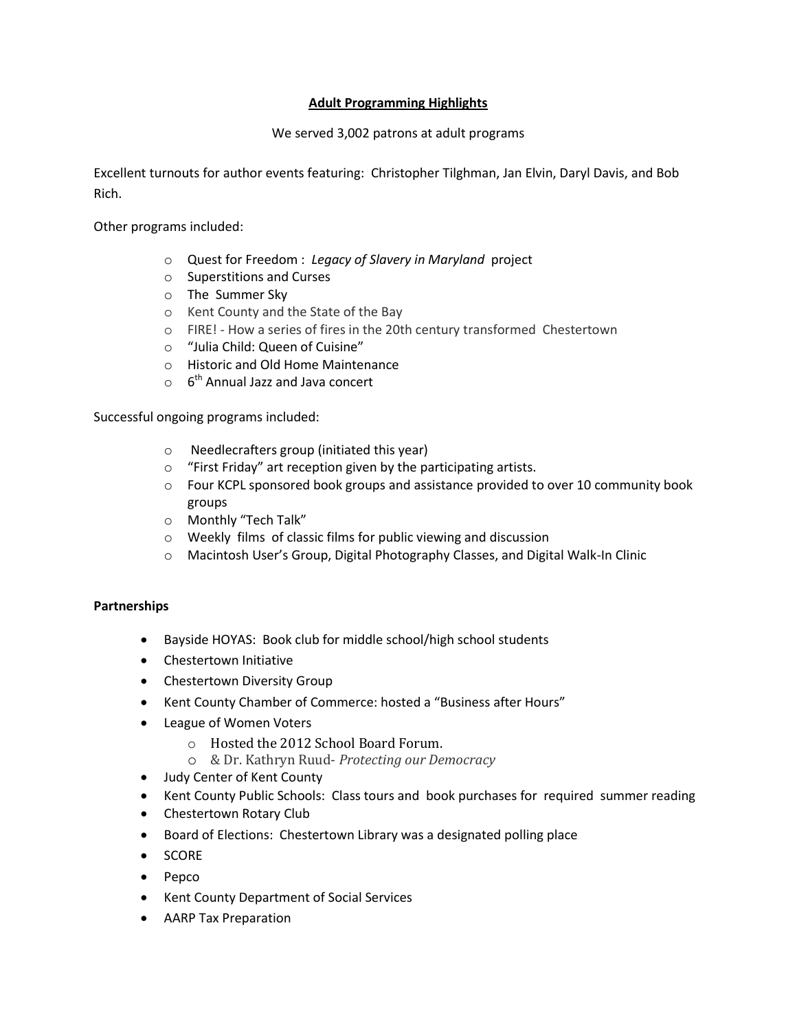# **Adult Programming Highlights**

## We served 3,002 patrons at adult programs

Excellent turnouts for author events featuring: Christopher Tilghman, Jan Elvin, Daryl Davis, and Bob Rich.

Other programs included:

- o Quest for Freedom : *Legacy of Slavery in Maryland* project
- o Superstitions and Curses
- o The Summer Sky
- o Kent County and the State of the Bay
- o FIRE! How a series of fires in the 20th century transformed Chestertown
- o "Julia Child: Queen of Cuisine"
- o Historic and Old Home Maintenance
- $\circ$  6<sup>th</sup> Annual Jazz and Java concert

Successful ongoing programs included:

- o Needlecrafters group (initiated this year)
- o "First Friday" art reception given by the participating artists.
- o Four KCPL sponsored book groups and assistance provided to over 10 community book groups
- o Monthly "Tech Talk"
- o Weekly films of classic films for public viewing and discussion
- o Macintosh User's Group, Digital Photography Classes, and Digital Walk-In Clinic

### **Partnerships**

- Bayside HOYAS: Book club for middle school/high school students
- Chestertown Initiative
- Chestertown Diversity Group
- Kent County Chamber of Commerce: hosted a "Business after Hours"
- League of Women Voters
	- o Hosted the 2012 School Board Forum.
	- o & Dr. Kathryn Ruud- *Protecting our Democracy*
- Judy Center of Kent County
- Kent County Public Schools: Class tours and book purchases for required summer reading
- Chestertown Rotary Club
- Board of Elections: Chestertown Library was a designated polling place
- SCORE
- $\bullet$  Pepco
- Kent County Department of Social Services
- AARP Tax Preparation